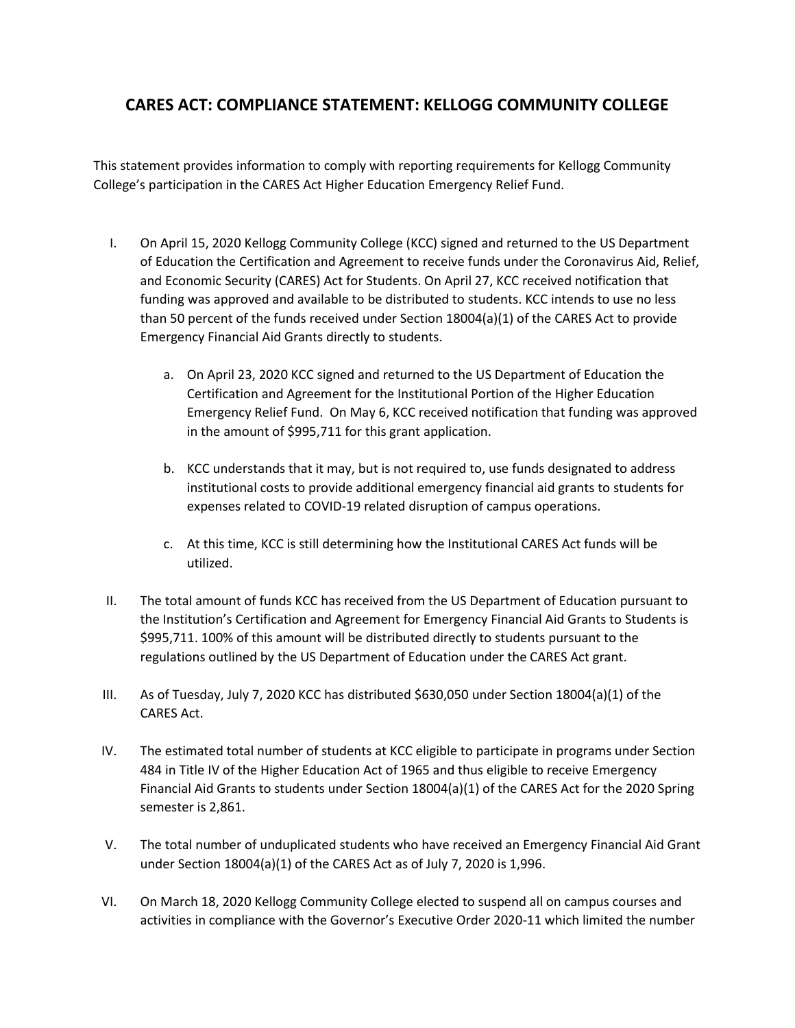## **CARES ACT: COMPLIANCE STATEMENT: KELLOGG COMMUNITY COLLEGE**

This statement provides information to comply with reporting requirements for Kellogg Community College's participation in the CARES Act Higher Education Emergency Relief Fund.

- I. On April 15, 2020 Kellogg Community College (KCC) signed and returned to the US Department of Education the Certification and Agreement to receive funds under the Coronavirus Aid, Relief, and Economic Security (CARES) Act for Students. On April 27, KCC received notification that funding was approved and available to be distributed to students. KCC intends to use no less than 50 percent of the funds received under Section 18004(a)(1) of the CARES Act to provide Emergency Financial Aid Grants directly to students.
	- a. On April 23, 2020 KCC signed and returned to the US Department of Education the Certification and Agreement for the Institutional Portion of the Higher Education Emergency Relief Fund. On May 6, KCC received notification that funding was approved in the amount of \$995,711 for this grant application.
	- b. KCC understands that it may, but is not required to, use funds designated to address institutional costs to provide additional emergency financial aid grants to students for expenses related to COVID-19 related disruption of campus operations.
	- c. At this time, KCC is still determining how the Institutional CARES Act funds will be utilized.
- II. The total amount of funds KCC has received from the US Department of Education pursuant to the Institution's Certification and Agreement for Emergency Financial Aid Grants to Students is \$995,711. 100% of this amount will be distributed directly to students pursuant to the regulations outlined by the US Department of Education under the CARES Act grant.
- III. As of Tuesday, July 7, 2020 KCC has distributed \$630,050 under Section 18004(a)(1) of the CARES Act.
- IV. The estimated total number of students at KCC eligible to participate in programs under Section 484 in Title IV of the Higher Education Act of 1965 and thus eligible to receive Emergency Financial Aid Grants to students under Section 18004(a)(1) of the CARES Act for the 2020 Spring semester is 2,861.
- V. The total number of unduplicated students who have received an Emergency Financial Aid Grant under Section 18004(a)(1) of the CARES Act as of July 7, 2020 is 1,996.
- VI. On March 18, 2020 Kellogg Community College elected to suspend all on campus courses and activities in compliance with the Governor's Executive Order 2020-11 which limited the number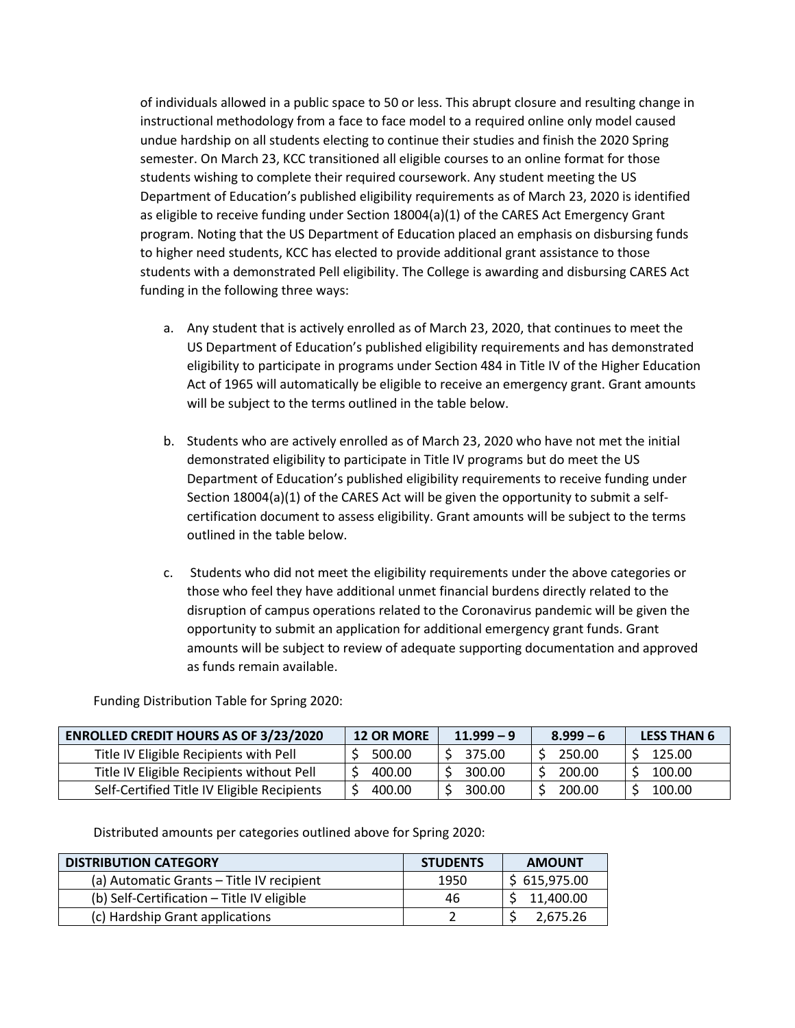of individuals allowed in a public space to 50 or less. This abrupt closure and resulting change in instructional methodology from a face to face model to a required online only model caused undue hardship on all students electing to continue their studies and finish the 2020 Spring semester. On March 23, KCC transitioned all eligible courses to an online format for those students wishing to complete their required coursework. Any student meeting the US Department of Education's published eligibility requirements as of March 23, 2020 is identified as eligible to receive funding under Section 18004(a)(1) of the CARES Act Emergency Grant program. Noting that the US Department of Education placed an emphasis on disbursing funds to higher need students, KCC has elected to provide additional grant assistance to those students with a demonstrated Pell eligibility. The College is awarding and disbursing CARES Act funding in the following three ways:

- a. Any student that is actively enrolled as of March 23, 2020, that continues to meet the US Department of Education's published eligibility requirements and has demonstrated eligibility to participate in programs under Section 484 in Title IV of the Higher Education Act of 1965 will automatically be eligible to receive an emergency grant. Grant amounts will be subject to the terms outlined in the table below.
- b. Students who are actively enrolled as of March 23, 2020 who have not met the initial demonstrated eligibility to participate in Title IV programs but do meet the US Department of Education's published eligibility requirements to receive funding under Section 18004(a)(1) of the CARES Act will be given the opportunity to submit a selfcertification document to assess eligibility. Grant amounts will be subject to the terms outlined in the table below.
- c. Students who did not meet the eligibility requirements under the above categories or those who feel they have additional unmet financial burdens directly related to the disruption of campus operations related to the Coronavirus pandemic will be given the opportunity to submit an application for additional emergency grant funds. Grant amounts will be subject to review of adequate supporting documentation and approved as funds remain available.

Funding Distribution Table for Spring 2020:

| <b>ENROLLED CREDIT HOURS AS OF 3/23/2020</b> | <b>12 OR MORE</b> | $11.999 - 9$ | $8.999 - 6$ | <b>LESS THAN 6</b> |
|----------------------------------------------|-------------------|--------------|-------------|--------------------|
| Title IV Eligible Recipients with Pell       | 500.00            | 375.00       | 250.00      | 125.00             |
| Title IV Eligible Recipients without Pell    | 400.00            | 300.00       | 200.00      | 100.00             |
| Self-Certified Title IV Eligible Recipients  | 400.00            | 300.00       | 200.00      | 100.00             |

Distributed amounts per categories outlined above for Spring 2020:

| <b>DISTRIBUTION CATEGORY</b>               | <b>STUDENTS</b> | <b>AMOUNT</b> |
|--------------------------------------------|-----------------|---------------|
| (a) Automatic Grants – Title IV recipient  | 1950            | \$615,975.00  |
| (b) Self-Certification - Title IV eligible | 46              | 11,400.00     |
| (c) Hardship Grant applications            |                 | 2.675.26      |